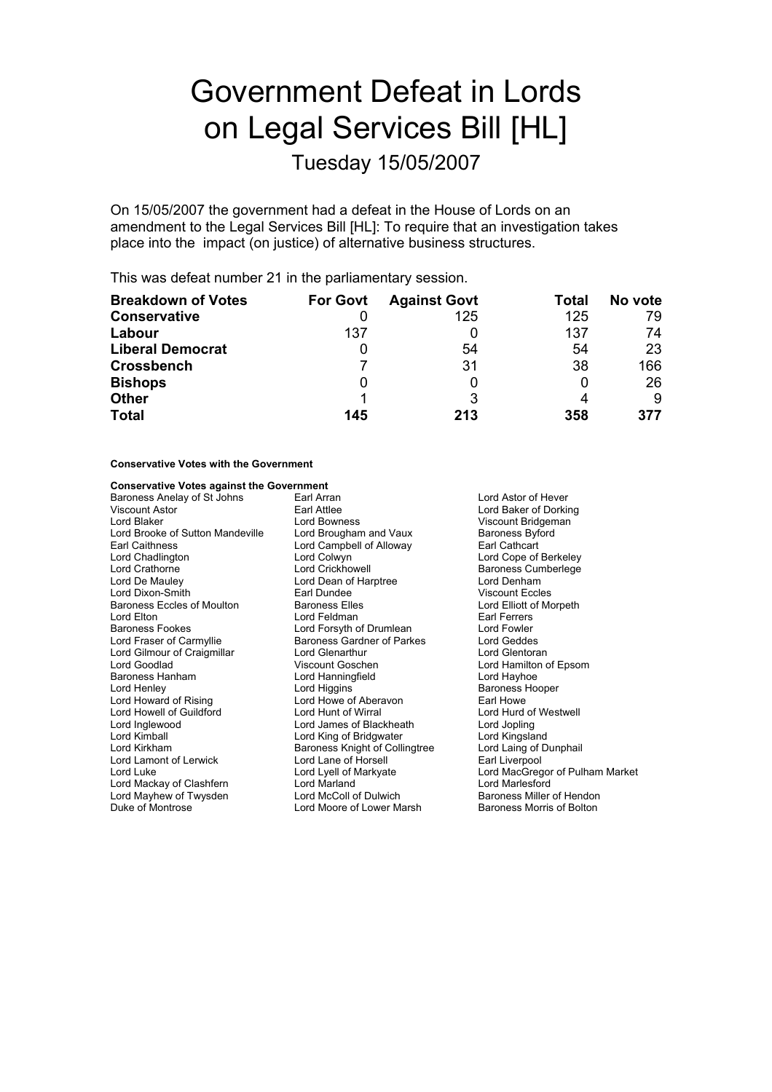# Government Defeat in Lords on Legal Services Bill [HL]

Tuesday 15/05/2007

On 15/05/2007 the government had a defeat in the House of Lords on an amendment to the Legal Services Bill [HL]: To require that an investigation takes place into the impact (on justice) of alternative business structures.

This was defeat number 21 in the parliamentary session.

| <b>Breakdown of Votes</b> | <b>For Govt</b> | <b>Against Govt</b> | Total | No vote |
|---------------------------|-----------------|---------------------|-------|---------|
| <b>Conservative</b>       |                 | 125                 | 125   | 79      |
| Labour                    | 137             |                     | 137   | 74      |
| <b>Liberal Democrat</b>   |                 | 54                  | 54    | 23      |
| <b>Crossbench</b>         |                 | 31                  | 38    | 166     |
| <b>Bishops</b>            | O               |                     | 0     | 26      |
| <b>Other</b>              |                 |                     | 4     | 9       |
| <b>Total</b>              | 145             | 213                 | 358   | 377     |

#### **Conservative Votes with the Government**

## **Conservative Votes against the Government**

Baroness Anelay of St Johns and Earl Arran and Lord Astor of Hever<br>
Viscount Astor Corkin Lord Baker of Dorkin Viscount Astor **Earl Attlee** Earl Attlee **Lord Baker of Dorking**<br>
Lord Baker Lord Bowness **Communist Communist Communist Communist Communist Communist Communist Communist Communist Communist Communist Communist Communist C** Lord Brooke of Sutton Mandeville Lord Brougham and Vaux Baroness Byford Brougham and Vaux Baroness Byford Brougham and Vaux Baroness Byford Brougham and Vaux Baroness Byford Brougham and Vaux Baroness Byford Brougham and V Lord Campbell of Alloway Lord Chadlington Lord Colwyn Lord Cope of Berkeley Lord Crathorne Lord Crickhowell Baroness Cumberlege Lord De Mauley **Lord Dean of Harptree** Lord Denham<br>
Lord Dixon-Smith **Lord Lord Dean of Harptree** Collection Collection Collection Collection Collection Collection Collection Collection Collection Collection Collection Col Lord Dixon-Smith **Earl Dundee** Carl Dundee Viscount Eccles<br>
Baroness Eccles of Moulton **Example Baroness Elles** Lord Elliott of Morpeth Baroness Eccles of Moulton Lord Elton **Example 2** Earl Ferrers<br>
Baroness Fookes **Earl Example 2** Lord Forsyth of Drumlean **Earl Fowler** Lord Forsyth of Drumlean Lord Fraser of Carmyllie **Baroness Gardner of Parkes** Exercise Card Geddes Lord Gilmour of Craigmillar and Lord Glenarthur and Glentoran Lord Glentoran<br>
Lord Goodlad Corollar Coscunt Goschen<br>
Lord Hamilton of Lord Hamilton of Lord Hamilton Lord Goodlad Viscount Goschen Lord Hamilton of Epsom Baroness Hanham Lord Hanning<br>
Lord Henley Lord Higgins Lord Henley **Communist Communist Lord Higgins** Communist Communist Baroness Hooper<br>
Lord Howard of Rising **Baroness Hooper**<br>
Lord Howe of Aberavon **Baroness Hooper** Lord Howell of Guildford Lord Hunt of Wirral Lord Inglewo d o Lord James of Blackheath Lord Jopling Lord King of Bridgwater Lord Kirkham **Baroness Knight of Collingtree** Lord Laing of Dunphail<br>
Lord Lamont of Lerwick Lord Lane of Horsell **Earl** Liverpool Lord Lamont of Lerwick Lord Lane of Horsell<br>
Lord Lord Luke Lord Lord Lord Lord Lord MacGreg<br>
Lord Lord MacGreg Lord Mackay of Clashfern Lord Marland Lord Marlesford Lord Mayhew of Twysden Lord McColl of Dulwich Baroness Miller of Hendon<br>Duke of Montrose Core Lord Moore of Lower Marsh Baroness Morris of Bolton Lord Moore of Lower Marsh

Lord Bowness **Viscount Bridgeman**<br>
Lord Brougham and Vaux **Baroness Byford** Lord Howe of Aberavon **Earl Howe**<br>
Lord Hunt of Wirral **Container Container Container Aber** Lord MacGregor of Pulham Market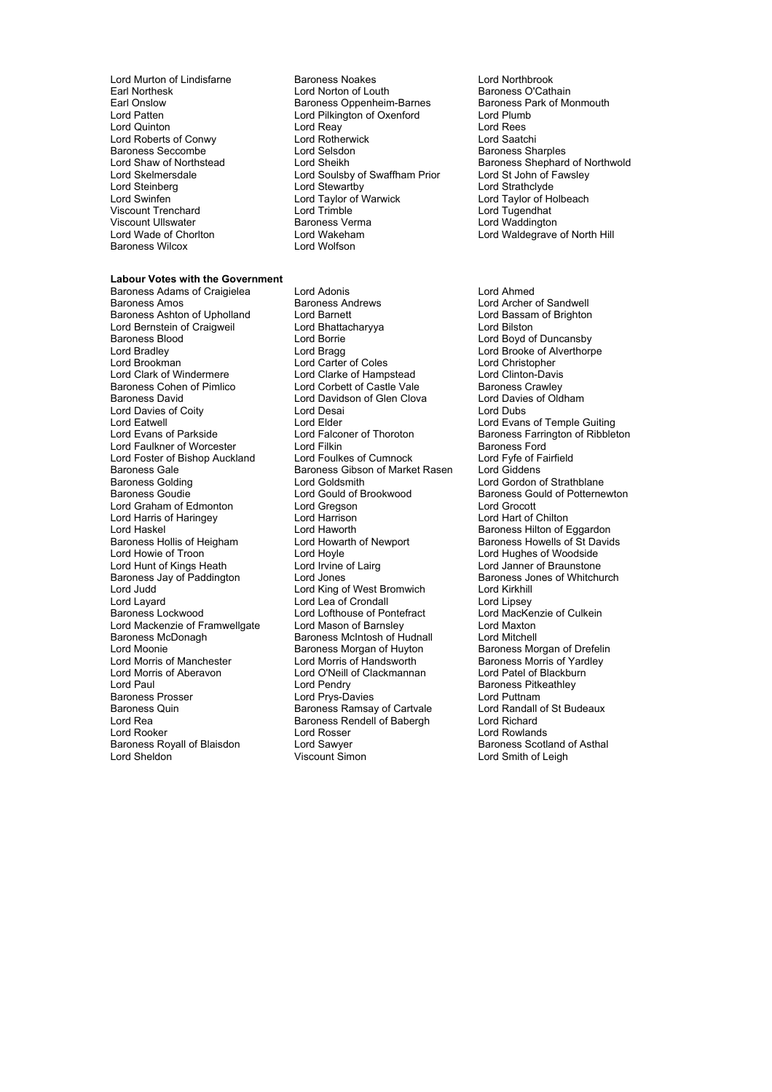Lord Roberts of Conwy<br>
Baroness Seccombe<br>
Lord Selsdon Lord Steinberg Lord Stewartby<br>
Lord Steinberg Lord Stewartby<br>
Lord Steinberg Lord Taylor of Warwick Viscount Ullswater **Baroness Verman Container**<br>
Lord Wade of Choriton **Container Lord Wakeham** Baroness Wilcox

#### **Labour Votes with the Government**

Baroness Ashton of Upholland Lord Barnett Lord Bassam of Brighton Lord Bernstein of Craigweil interest and Lord Bhattacharyya and Lord Bilston<br>
Expansion Lord Borness Blood Cord Boyd of Lord Boyd of Lord Boyd of Lord Boyd of Lord Boyd of Lord Boyd of Lo Baroness Blood Lord Borrie Lord Boyd of Duncansby Lord Bradley Lord Bragg Lord Brooke of Alverthorpe Lord Brookman Lord Carter of Coles Lord Christopher Lord Clark of Windermere **Lord Clarke of Hampstead** Lord Clinton-Davis<br>Baroness Cohen of Pimlico **Lord Corbett of Castle Vale** Baroness Crawlev Baroness Cohen of Pimlico **Conduct Conduct Conduct Conduct Conduct** Baroness Crawley<br>Baroness David Baroness Castle Baroness Corporation of Glen Clova Lord Davies of Oldham Lord Davies of Coity Lord Desai Lord Dubs Lord Eatwell<br>
Lord Evans of Parkside Lord Elder Lord Falconer of Thoroton Baroness Farrington of Ribblet Lord Faulkner of Worcester Lord Filkin Lord Filkin Baroness Ford Turk Cord Foulkes of Cumnock Lord For Lord Fyfe of Fairfield Lord Foster of Bishop Auckland Lord Foulkes of Cumnock Lord Fyfe of Fairch Cumnock Lord Giddens<br>Baroness Gale Cord Giddens Baroness Gibson of Market Rasen Lord Giddens Baroness Gale **Baroness Gibson of Market Rasen**<br>Baroness Golding **Baroness Coldens** Lord Goldsmith Baroness Goudie **Lord Gould of Brookwood** Baroness Gould of Potternewton<br>
Lord Graham of Edmonton Lord Gregson<br>
Lord Grocott Lord Graham of Edmonton Lord Gregson Lord Grocott Lord Harris of Haringey **Lord Harrison**<br>Lord Haskel **Lord Haworth** Lord Haskel Contract Lord Haworth Lord Haworth Baroness Hilton of Eggardon<br>Baroness Hollis of Heigham Lord Howarth of Newport Baroness Howells of St David Baroness Hollis of Heigham Lord Howarth of Newport Baroness Howells of St Davids<br>
Lord Howie of Troon Lord Hoyle Cord Hovels and Baroness Howells of Woodside Lord Hunt of Kings Heath Baroness Jay of Paddington Lord Jones<br>
Lord Lord Hord King of West Bromwich Lord Kirkhill<br>
Lord Judd Cord King of West Bromwich Lord Kirkhill Lord Judd Lord King of West Bromwich Lord Kirkhill Baroness Lockwood Lord Lord Lofthouse of Pontefract Lord Mackenzie of Framwellgate Lord Mason of Barnsley Lord Maxton<br>Baroness McDonagh Baroness McIntosh of Hudnall Lord Mitchell Baroness McDonagh Baroness McIntosh of Hudnall Lord Mitchell<br>Lord Moonie Company Baroness Morgan of Huyton Baroness Morgan of Drefelin Lord Moonie<br>
Lord Morris of Manchester Franchise Morgan of Huyton Baroness Morgan of Drefeli<br>
Lord Morris of Handsworth Baroness Morris of Yardley Lord Morris of Manchester Lord Morris of Handsworth Baroness Morris of Yard<br>
Lord Morris of Aberavon Lord O'Neill of Clackmannan Lord Patel of Blackburn Lord Paul Lord Pendry Baroness Pitkeathley Baroness Quin Baroness Ramsay of Cartvale Lord Randall<br>
Lord Rea Cord Baroness Rendell of Babergh Lord Richard Lord Rea Baroness Rendell of Babergh Lord Rooker<br>
Lord Rooker Lord Rosser Lord Rooker Lord Rosser Lord Rosser Lord Rowlands<br>
Baroness Royall of Blaisdon Lord Sawyer Lord Rowlands Baroness Scotla

Lord Murton of Lindisfarne **Baroness Noakes** Lord Northbrook<br>
Earl Northesk Lord Norton of Louth **Baroness O'Cathain** Earl Northesk **Earl Northes k Lord Norton of Louth** Baroness O'Cathain<br>
Earl Onslow **Baroness Obenheim-Barnes** Baroness Park of Monmouth Earl Onslow Baroness Oppenheim-Barnes Baroness Park Baroness Park of Month Barnes Baroness Park of Month Burnh Lord Pilkington of Oxenford Lord Plumb<br>Lord Reay Lord Rees Lord Quinton **Lord Reavaluation** Lord Reavaluation and Rees<br>
Lord Roberts of Conwy **Lord Rotherwick** Lord Rotherwick Lord Saatchi Baroness Seccombe Lord Selsdon **Baroness Sharples**<br>
Lord Shaw of Northstead Lord Sheikh Baroness Sharples<br>
Lord Shaw of Northstead Lord Sheikh Baroness Shephard Lord Skelmersdale a Lord Soulsby of Swaffham Prior Cord St John of F<br>
Lord Steinberg Cord St Lord St Lord St Lord Strathclyde Lord Taylor of Warwick and Lord Taylor of Holbeach<br>
Lord Trimble<br>
Lord Tugendhat Viscount Trenchard Lord Trimble Lord Tugendhat Lord Wakeham Lord Waldegrave of North Hill<br>Lord Wolfson

Baroness Adams of Craigielea Lord Adonis<br>
Baroness Amos Craigielea Baroness Andrews Lord Archer (Lord Archer Lord Davidson of Glen Clova Lord Hoyle<br>
Lord Irvine of Lairg<br>
Lord Janner of Braunstone Lord Lea of Crondall Lord Lipsey<br>
Lord Lofthouse of Pontefract Lord MacKenzie of Culkein Lord O'Neill of Clackmannan Lord Prys-Davies<br>
Baroness Ramsay of Cartvale 
Lord Randall of St Budeaux Baroness Royall of Blaisdon and Lord Sawyer **Baroness Scotland of Asthal**<br>
Lord Sheldon **a Lord Sawyer** Corporation Clear Corporation Clear Lord Smith of Leigh

Lord Shaw of Northstead Lord Sheikh Baroness Shephard of Northwold<br>
Lord Skelmersdale Lord Soulsby of Swaffham Prior Lord St John of Fawsley

Lord Archer of Sandwell Baroness Farrington of Ribbleton<br>Baroness Ford Lord Gordon of Strathblane Lord Smith of Leigh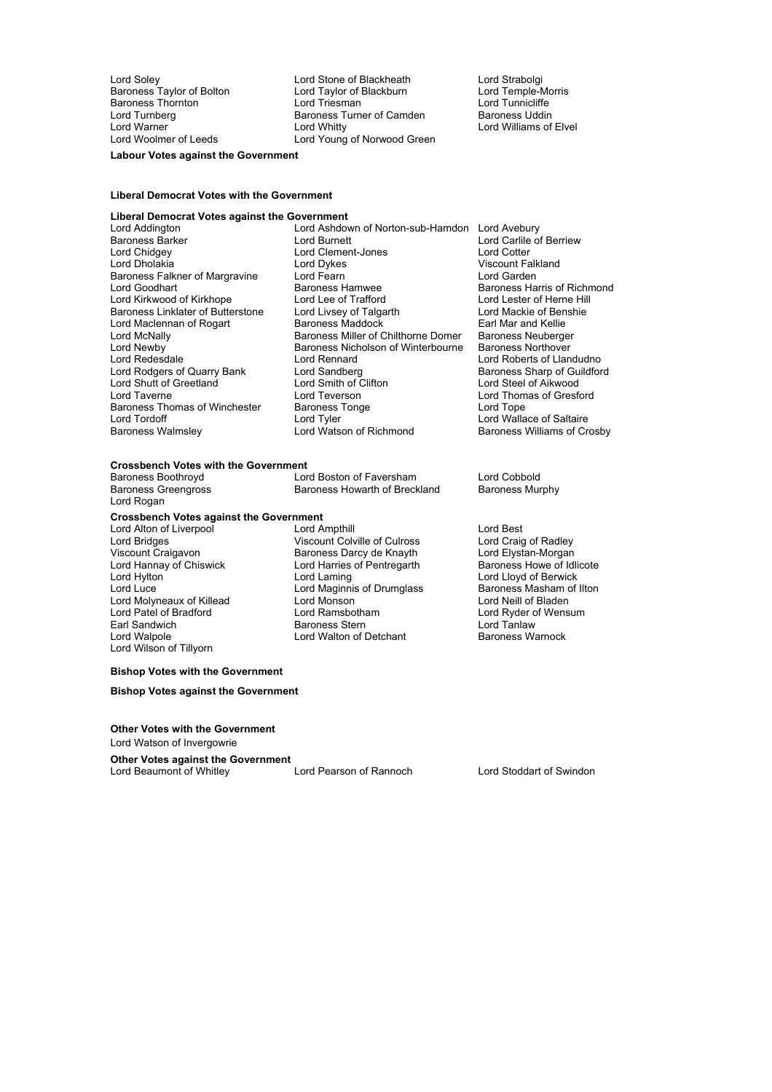Lord Soley **Lord Stone of Blackheath** Lord Strabolgi<br>
Baroness Taylor of Bolton Lord Taylor of Blackburn Lord Temple-Morris Baroness Taylor of Bolton Lord Taylor of Blackburn and Lord Temple-Morris Lord Temple-Morris Lord Tunnicliffe<br>
Lord Tunnicliffe Lord Lord Triesman Baroness Thornton **Example 2** Lord Triesman **Lord Tunnicliffe**<br>
Lord Turpherg<br>
Lord Turpherg<br>
Lord Turpherg<br>
Lord Turpherg<br>
Lord Turpherg Lord Turnberg entitled Baroness Turner of Camden<br>
Lord Warner Camel Baroness Turner of Camden Lord Warner Theory Cord Whitty Cord Whitty Cord Cord Lord Williams of Elvel<br>
Lord Woolmer of Leeds Lord Young of Norwood Green Lord Young of Norwood Green

**Labour Votes against the Government**

### **Liberal Democrat Votes with the Government**

#### **Liberal Democrat Votes against the Government**

Lord Chidgey **Lord Clement-Jones**<br>
Lord Dholakia **November 1998**<br>
Lord Dykes Baroness Falkner of Margravine Lord Shutt of Greetland G Lord Smith of C<br>
Lord Taverne G Lord Teverson Baroness Thomas of Winchester Baroness<br>
Lord Tordoff Lord Tyler

Lord Addington Lord Ashdown of Norton-sub-Hamdon Lord Avebury<br>Baroness Barker Lord Carlile on Lord Burnett Lord Carlile o Baroness Barker Lord Burnett Lord Carlile of Berriew Lord Dholakia Lord Dykes Viscount Falkland Lord Goodhart **Example 3 Exercise Standard Baroness Harris and Baroness Harris of Richmond Baroness Harris of Richmond**<br>
Lord Kirkwood of Kirkhope **Baroness Harris of Trafford Baroness Harris of Herne Hill** Lord Kirkwood of Kirkhope Lord Lee of Trafford Lord Lord Lester of Herne Hill<br>Baroness Linklater of Butterstone Lord Livsev of Talgarth Lord Mackie of Benshie Baroness Linklater of Butterstone Lord Livsey of Talgarth **Example 20 Lord Mackie of Ben**<br>
Lord Maclennan of Rogart Baroness Maddock **Earl Marand Kellie** Lord Maclennan of Rogart Baroness Maddock Earl Mar and Kellie<br>Lord McNally Baroness Miller of Chilthorne Domer Baroness Neuberger Lord McNally **Example 2** Extra Baroness Miller of Chilthorne Domer Baroness Neuberger<br>
Baroness Nicholson of Winterbourne Baroness Northover Lord Newby **Baroness Nicholson of Winterbourne**<br>
Lord Redesdale **Baroness Nicholson of Winterbourne**<br>
Lord Rennard Lord Rennard **Lord Roberts of Llandudno**<br>
Lord Sandberg **Communist Communist Communist Communist Communist Communist Communist Communist Communist Communist Communist Communist Communist Communist Communist Communist Commu** Lord Rodgers of Quarry Bank Lord Sandberg and Baroness Sharp of Guilding Baroness Sharp of Guilding Lord Steel of Aikwood Lord Teverson Lord Thomas of Gresford<br>
Baroness Tonge Lord Tope<br>
Lord Tope Lord Tordoff Lord Tyler The Lord Tordoff Lord Tordoff Lord Wallace of Saltaire<br>
Lord Watson of Richmond Baroness Williams of Cro

Baroness Williams of Crosby

#### **Crossbench Votes with the Government**

| Baroness Boothroyd         | Lord Boston of Faversham      | Lord Cobbold           |
|----------------------------|-------------------------------|------------------------|
| <b>Baroness Greengross</b> | Baroness Howarth of Breckland | <b>Baroness Murphy</b> |
| . <b>. .</b>               |                               |                        |

## **Crossbench Votes against the Government**

Lord Hannay of Chiswick **Chicago Lord Harries of Pentregarth Lord Hylton** Lord Molyneaux of Killead Lord Monson<br>
Lord Patel of Bradford 
Lord Ramsbotham Lord Wilson of Tillyorn

Lord Rogan

Lord Alton of Liverpool **Lord Ampthill** Lord Ampthill Lord Ampthill Lord Bridges Lord Bridges Culrose Lord Craig of Radley Lord Bridges **Calculation Colville of Culross** Lord Craig of Radley<br>
Viscount Craigavon **Calculation Baroness Darcy de Knayth** Lord Elystan-Morgan Viscount Craigavon **Baroness Darcy de Knayth** Lord Elystan-Morgan<br>
Lord Hannay of Chiswick Lord Harries of Pentregarth Baroness Howe of Idlicote Lord Hylton Lord Laming Lord Lloyd of Berwick Lord Maginnis of Drumglass Baroness Masham c<br>
Lord Monson<br>
Lord Neill of Bladen Earl Sandwich Baroness Stern Lord Tanlaw Lord Walton of Detchant

Lord Ryder of Wensum

#### **Bishop Votes with the Government**

**Bishop Votes against the Government**

**Other Votes with the Government** Lord Watson of Invergowrie

**Other Votes against the Government**<br> **Cord Beaumont of Whitley Lord Pearson of Rannoch** Lord Beaumont of Whitley Lord Pearson of Rannoch Lord Stoddart of Swindon